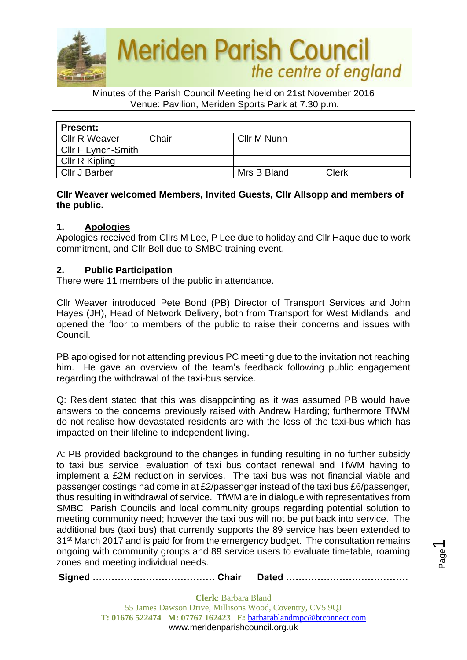

Minutes of the Parish Council Meeting held on 21st November 2016 Venue: Pavilion, Meriden Sports Park at 7.30 p.m.

| <b>Present:</b>           |       |             |       |  |  |
|---------------------------|-------|-------------|-------|--|--|
| <b>Cllr R Weaver</b>      | Chair | Cllr M Nunn |       |  |  |
| <b>CIIr F Lynch-Smith</b> |       |             |       |  |  |
| Cllr R Kipling            |       |             |       |  |  |
| <b>Cllr J Barber</b>      |       | Mrs B Bland | Clerk |  |  |

## **Cllr Weaver welcomed Members, Invited Guests, Cllr Allsopp and members of the public.**

## **1. Apologies**

Apologies received from Cllrs M Lee, P Lee due to holiday and Cllr Haque due to work commitment, and Cllr Bell due to SMBC training event.

## **2. Public Participation**

There were 11 members of the public in attendance.

Cllr Weaver introduced Pete Bond (PB) Director of Transport Services and John Hayes (JH), Head of Network Delivery, both from Transport for West Midlands, and opened the floor to members of the public to raise their concerns and issues with Council.

PB apologised for not attending previous PC meeting due to the invitation not reaching him. He gave an overview of the team's feedback following public engagement regarding the withdrawal of the taxi-bus service.

Q: Resident stated that this was disappointing as it was assumed PB would have answers to the concerns previously raised with Andrew Harding; furthermore TfWM do not realise how devastated residents are with the loss of the taxi-bus which has impacted on their lifeline to independent living.

A: PB provided background to the changes in funding resulting in no further subsidy to taxi bus service, evaluation of taxi bus contact renewal and TfWM having to implement a £2M reduction in services. The taxi bus was not financial viable and passenger costings had come in at £2/passenger instead of the taxi bus £6/passenger, thus resulting in withdrawal of service. TfWM are in dialogue with representatives from SMBC, Parish Councils and local community groups regarding potential solution to meeting community need; however the taxi bus will not be put back into service. The additional bus (taxi bus) that currently supports the 89 service has been extended to 31<sup>st</sup> March 2017 and is paid for from the emergency budget. The consultation remains ongoing with community groups and 89 service users to evaluate timetable, roaming zones and meeting individual needs.

**Signed ………………………………… Chair Dated …………………………………**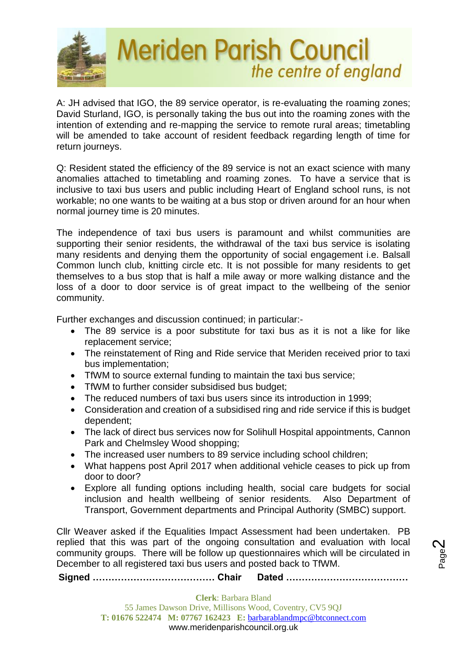

A: JH advised that IGO, the 89 service operator, is re-evaluating the roaming zones; David Sturland, IGO, is personally taking the bus out into the roaming zones with the intention of extending and re-mapping the service to remote rural areas; timetabling will be amended to take account of resident feedback regarding length of time for return journeys.

Q: Resident stated the efficiency of the 89 service is not an exact science with many anomalies attached to timetabling and roaming zones. To have a service that is inclusive to taxi bus users and public including Heart of England school runs, is not workable; no one wants to be waiting at a bus stop or driven around for an hour when normal journey time is 20 minutes.

The independence of taxi bus users is paramount and whilst communities are supporting their senior residents, the withdrawal of the taxi bus service is isolating many residents and denying them the opportunity of social engagement i.e. Balsall Common lunch club, knitting circle etc. It is not possible for many residents to get themselves to a bus stop that is half a mile away or more walking distance and the loss of a door to door service is of great impact to the wellbeing of the senior community.

Further exchanges and discussion continued; in particular:-

- The 89 service is a poor substitute for taxi bus as it is not a like for like replacement service;
- The reinstatement of Ring and Ride service that Meriden received prior to taxi bus implementation;
- TfWM to source external funding to maintain the taxi bus service;
- TfWM to further consider subsidised bus budget;
- The reduced numbers of taxi bus users since its introduction in 1999;
- Consideration and creation of a subsidised ring and ride service if this is budget dependent;
- The lack of direct bus services now for Solihull Hospital appointments, Cannon Park and Chelmsley Wood shopping;
- The increased user numbers to 89 service including school children;
- What happens post April 2017 when additional vehicle ceases to pick up from door to door?
- Explore all funding options including health, social care budgets for social inclusion and health wellbeing of senior residents. Also Department of Transport, Government departments and Principal Authority (SMBC) support.

Cllr Weaver asked if the Equalities Impact Assessment had been undertaken. PB replied that this was part of the ongoing consultation and evaluation with local community groups. There will be follow up questionnaires which will be circulated in December to all registered taxi bus users and posted back to TfWM.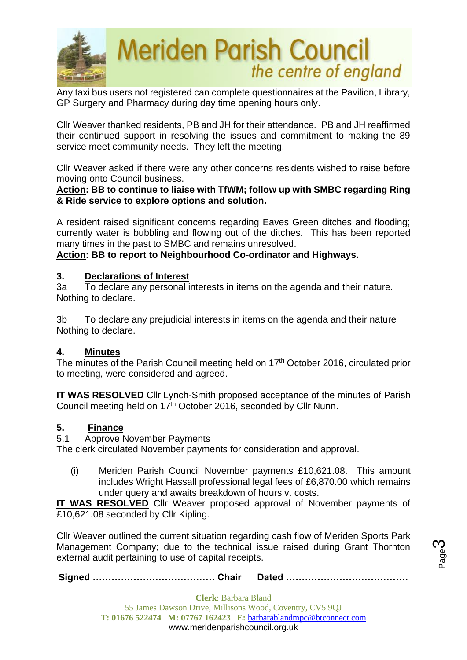

Any taxi bus users not registered can complete questionnaires at the Pavilion, Library, GP Surgery and Pharmacy during day time opening hours only.

Cllr Weaver thanked residents, PB and JH for their attendance. PB and JH reaffirmed their continued support in resolving the issues and commitment to making the 89 service meet community needs. They left the meeting.

Cllr Weaver asked if there were any other concerns residents wished to raise before moving onto Council business.

#### **Action: BB to continue to liaise with TfWM; follow up with SMBC regarding Ring & Ride service to explore options and solution.**

A resident raised significant concerns regarding Eaves Green ditches and flooding; currently water is bubbling and flowing out of the ditches. This has been reported many times in the past to SMBC and remains unresolved.

**Action: BB to report to Neighbourhood Co-ordinator and Highways.**

## **3. Declarations of Interest**

3a To declare any personal interests in items on the agenda and their nature. Nothing to declare.

3b To declare any prejudicial interests in items on the agenda and their nature Nothing to declare.

#### **4. Minutes**

The minutes of the Parish Council meeting held on 17<sup>th</sup> October 2016, circulated prior to meeting, were considered and agreed.

**IT WAS RESOLVED** Cllr Lynch-Smith proposed acceptance of the minutes of Parish Council meeting held on 17<sup>th</sup> October 2016, seconded by Cllr Nunn.

#### **5. Finance**

5.1 Approve November Payments

The clerk circulated November payments for consideration and approval.

(i) Meriden Parish Council November payments £10,621.08. This amount includes Wright Hassall professional legal fees of £6,870.00 which remains under query and awaits breakdown of hours v. costs.

**IT WAS RESOLVED** Cllr Weaver proposed approval of November payments of £10,621.08 seconded by Cllr Kipling.

Cllr Weaver outlined the current situation regarding cash flow of Meriden Sports Park Management Company; due to the technical issue raised during Grant Thornton external audit pertaining to use of capital receipts.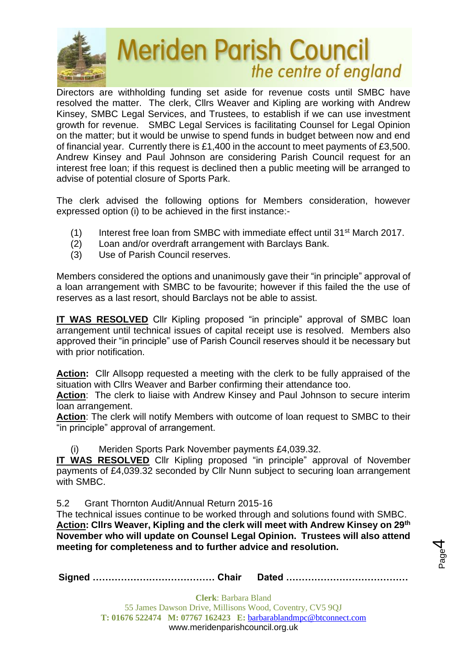

Directors are withholding funding set aside for revenue costs until SMBC have resolved the matter. The clerk, Cllrs Weaver and Kipling are working with Andrew Kinsey, SMBC Legal Services, and Trustees, to establish if we can use investment growth for revenue. SMBC Legal Services is facilitating Counsel for Legal Opinion on the matter; but it would be unwise to spend funds in budget between now and end of financial year. Currently there is £1,400 in the account to meet payments of £3,500. Andrew Kinsey and Paul Johnson are considering Parish Council request for an interest free loan; if this request is declined then a public meeting will be arranged to advise of potential closure of Sports Park.

The clerk advised the following options for Members consideration, however expressed option (i) to be achieved in the first instance:-

- (1) Interest free loan from SMBC with immediate effect until  $31<sup>st</sup>$  March 2017.
- (2) Loan and/or overdraft arrangement with Barclays Bank.
- (3) Use of Parish Council reserves.

Members considered the options and unanimously gave their "in principle" approval of a loan arrangement with SMBC to be favourite; however if this failed the the use of reserves as a last resort, should Barclays not be able to assist.

**IT WAS RESOLVED** Cllr Kipling proposed "in principle" approval of SMBC loan arrangement until technical issues of capital receipt use is resolved. Members also approved their "in principle" use of Parish Council reserves should it be necessary but with prior notification.

**Action:** Cllr Allsopp requested a meeting with the clerk to be fully appraised of the situation with Cllrs Weaver and Barber confirming their attendance too.

**Action**: The clerk to liaise with Andrew Kinsey and Paul Johnson to secure interim loan arrangement.

**Action**: The clerk will notify Members with outcome of loan request to SMBC to their "in principle" approval of arrangement.

(i) Meriden Sports Park November payments £4,039.32.

**IT WAS RESOLVED** Cllr Kipling proposed "in principle" approval of November payments of £4,039.32 seconded by Cllr Nunn subject to securing loan arrangement with SMBC.

5.2 Grant Thornton Audit/Annual Return 2015-16

The technical issues continue to be worked through and solutions found with SMBC. **Action: Cllrs Weaver, Kipling and the clerk will meet with Andrew Kinsey on 29th November who will update on Counsel Legal Opinion. Trustees will also attend meeting for completeness and to further advice and resolution.**

Page 4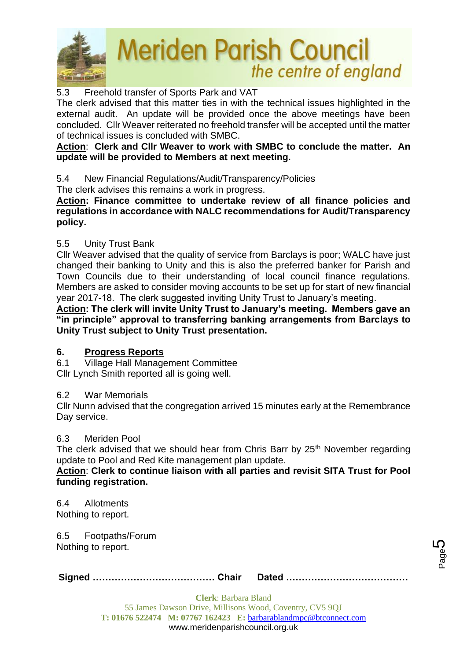

# 5.3 Freehold transfer of Sports Park and VAT

The clerk advised that this matter ties in with the technical issues highlighted in the external audit. An update will be provided once the above meetings have been concluded. Cllr Weaver reiterated no freehold transfer will be accepted until the matter of technical issues is concluded with SMBC.

## **Action**: **Clerk and Cllr Weaver to work with SMBC to conclude the matter. An update will be provided to Members at next meeting.**

5.4 New Financial Regulations/Audit/Transparency/Policies

The clerk advises this remains a work in progress.

**Action: Finance committee to undertake review of all finance policies and regulations in accordance with NALC recommendations for Audit/Transparency policy.**

# 5.5 Unity Trust Bank

Cllr Weaver advised that the quality of service from Barclays is poor; WALC have just changed their banking to Unity and this is also the preferred banker for Parish and Town Councils due to their understanding of local council finance regulations. Members are asked to consider moving accounts to be set up for start of new financial year 2017-18. The clerk suggested inviting Unity Trust to January's meeting.

**Action: The clerk will invite Unity Trust to January's meeting. Members gave an "in principle" approval to transferring banking arrangements from Barclays to Unity Trust subject to Unity Trust presentation.**

# **6. Progress Reports**

6.1 Village Hall Management Committee

Cllr Lynch Smith reported all is going well.

# 6.2 War Memorials

Cllr Nunn advised that the congregation arrived 15 minutes early at the Remembrance Day service.

#### 6.3 Meriden Pool

The clerk advised that we should hear from Chris Barr by 25<sup>th</sup> November regarding update to Pool and Red Kite management plan update.

**Action**: **Clerk to continue liaison with all parties and revisit SITA Trust for Pool funding registration.**

6.4 Allotments Nothing to report.

6.5 Footpaths/Forum Nothing to report.

|--|--|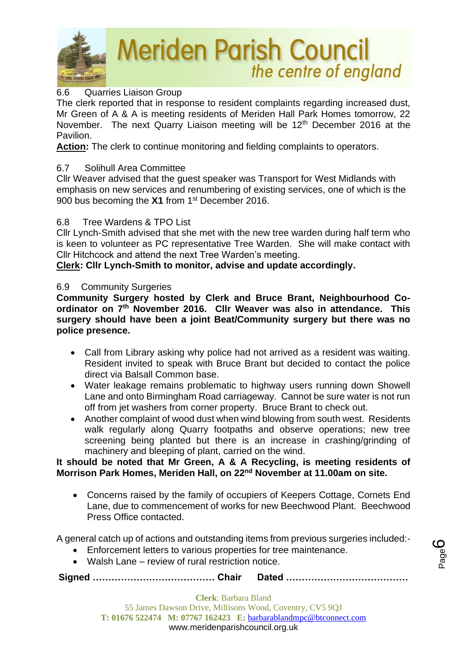

# 6.6 Quarries Liaison Group

The clerk reported that in response to resident complaints regarding increased dust, Mr Green of A & A is meeting residents of Meriden Hall Park Homes tomorrow, 22 November. The next Quarry Liaison meeting will be 12<sup>th</sup> December 2016 at the Pavilion.

**Action:** The clerk to continue monitoring and fielding complaints to operators.

## 6.7 Solihull Area Committee

Cllr Weaver advised that the guest speaker was Transport for West Midlands with emphasis on new services and renumbering of existing services, one of which is the 900 bus becoming the X1 from 1<sup>st</sup> December 2016.

## 6.8 Tree Wardens & TPO List

Cllr Lynch-Smith advised that she met with the new tree warden during half term who is keen to volunteer as PC representative Tree Warden. She will make contact with Cllr Hitchcock and attend the next Tree Warden's meeting.

**Clerk: Cllr Lynch-Smith to monitor, advise and update accordingly.**

## 6.9 Community Surgeries

**Community Surgery hosted by Clerk and Bruce Brant, Neighbourhood Coordinator on 7 th November 2016. Cllr Weaver was also in attendance. This surgery should have been a joint Beat/Community surgery but there was no police presence.**

- Call from Library asking why police had not arrived as a resident was waiting. Resident invited to speak with Bruce Brant but decided to contact the police direct via Balsall Common base.
- Water leakage remains problematic to highway users running down Showell Lane and onto Birmingham Road carriageway. Cannot be sure water is not run off from jet washers from corner property. Bruce Brant to check out.
- Another complaint of wood dust when wind blowing from south west. Residents walk regularly along Quarry footpaths and observe operations; new tree screening being planted but there is an increase in crashing/grinding of machinery and bleeping of plant, carried on the wind.

#### **It should be noted that Mr Green, A & A Recycling, is meeting residents of Morrison Park Homes, Meriden Hall, on 22nd November at 11.00am on site.**

• Concerns raised by the family of occupiers of Keepers Cottage, Cornets End Lane, due to commencement of works for new Beechwood Plant. Beechwood Press Office contacted.

A general catch up of actions and outstanding items from previous surgeries included:-

- Enforcement letters to various properties for tree maintenance.
- Walsh Lane review of rural restriction notice.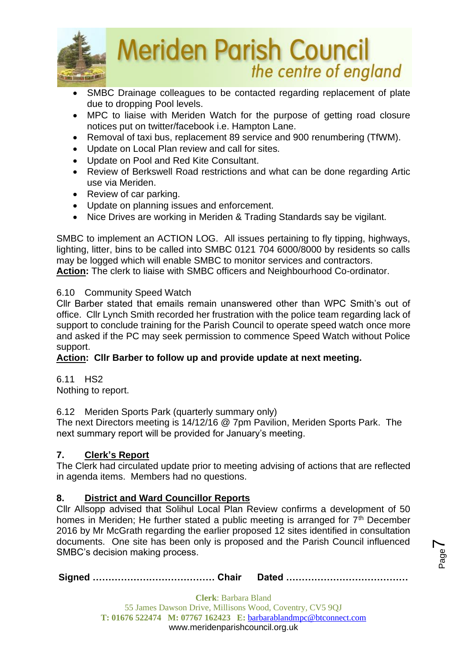

- SMBC Drainage colleagues to be contacted regarding replacement of plate due to dropping Pool levels.
- MPC to liaise with Meriden Watch for the purpose of getting road closure notices put on twitter/facebook i.e. Hampton Lane.
- Removal of taxi bus, replacement 89 service and 900 renumbering (TfWM).
- Update on Local Plan review and call for sites.
- Update on Pool and Red Kite Consultant.
- Review of Berkswell Road restrictions and what can be done regarding Artic use via Meriden.
- Review of car parking.
- Update on planning issues and enforcement.
- Nice Drives are working in Meriden & Trading Standards say be vigilant.

SMBC to implement an ACTION LOG. All issues pertaining to fly tipping, highways, lighting, litter, bins to be called into SMBC 0121 704 6000/8000 by residents so calls may be logged which will enable SMBC to monitor services and contractors. **Action:** The clerk to liaise with SMBC officers and Neighbourhood Co-ordinator.

# 6.10 Community Speed Watch

Cllr Barber stated that emails remain unanswered other than WPC Smith's out of office. Cllr Lynch Smith recorded her frustration with the police team regarding lack of support to conclude training for the Parish Council to operate speed watch once more and asked if the PC may seek permission to commence Speed Watch without Police support.

# **Action: Cllr Barber to follow up and provide update at next meeting.**

6.11 HS2 Nothing to report.

6.12 Meriden Sports Park (quarterly summary only)

The next Directors meeting is 14/12/16 @ 7pm Pavilion, Meriden Sports Park. The next summary report will be provided for January's meeting.

# **7. Clerk's Report**

The Clerk had circulated update prior to meeting advising of actions that are reflected in agenda items. Members had no questions.

# **8. District and Ward Councillor Reports**

Cllr Allsopp advised that Solihul Local Plan Review confirms a development of 50 homes in Meriden; He further stated a public meeting is arranged for  $7<sup>th</sup>$  December 2016 by Mr McGrath regarding the earlier proposed 12 sites identified in consultation documents. One site has been only is proposed and the Parish Council influenced SMBC's decision making process.

**Signed ………………………………… Chair Dated …………………………………**

Page  $\blacktriangleright$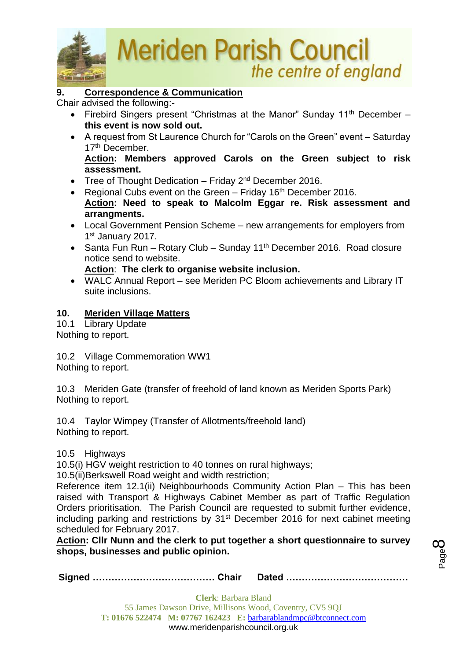

# **9. Correspondence & Communication**

Chair advised the following:-

- Firebird Singers present "Christmas at the Manor" Sunday 11<sup>th</sup> December **this event is now sold out.**
- A request from St Laurence Church for "Carols on the Green" event Saturday 17<sup>th</sup> December. **Action: Members approved Carols on the Green subject to risk assessment.**
- Tree of Thought Dedication Friday  $2^{nd}$  December 2016.
- Regional Cubs event on the Green  $-$  Friday 16<sup>th</sup> December 2016.
- **Action: Need to speak to Malcolm Eggar re. Risk assessment and arrangments.**
- Local Government Pension Scheme new arrangements for employers from 1st January 2017.
- Santa Fun Run Rotary Club Sunday 11<sup>th</sup> December 2016. Road closure notice send to website.

#### **Action**: **The clerk to organise website inclusion.**

• WALC Annual Report – see Meriden PC Bloom achievements and Library IT suite inclusions.

# **10. Meriden Village Matters**

10.1 Library Update Nothing to report.

10.2 Village Commemoration WW1 Nothing to report.

10.3 Meriden Gate (transfer of freehold of land known as Meriden Sports Park) Nothing to report.

10.4 Taylor Wimpey (Transfer of Allotments/freehold land) Nothing to report.

# 10.5 Highways

10.5(i) HGV weight restriction to 40 tonnes on rural highways;

10.5(ii)Berkswell Road weight and width restriction;

Reference item 12.1(ii) Neighbourhoods Community Action Plan – This has been raised with Transport & Highways Cabinet Member as part of Traffic Regulation Orders prioritisation. The Parish Council are requested to submit further evidence, including parking and restrictions by 31<sup>st</sup> December 2016 for next cabinet meeting scheduled for February 2017.

**Action: Cllr Nunn and the clerk to put together a short questionnaire to survey shops, businesses and public opinion.**

**Signed ………………………………… Chair Dated …………………………………**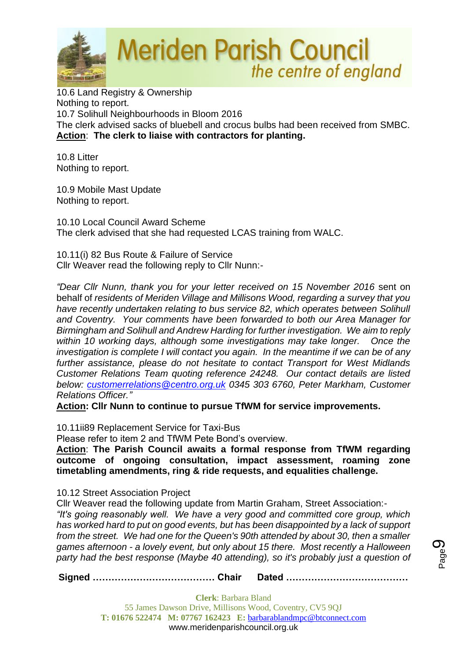

10.6 Land Registry & Ownership Nothing to report. 10.7 Solihull Neighbourhoods in Bloom 2016 The clerk advised sacks of bluebell and crocus bulbs had been received from SMBC. **Action**: **The clerk to liaise with contractors for planting.** 

10.8 Litter Nothing to report.

10.9 Mobile Mast Update Nothing to report.

10.10 Local Council Award Scheme The clerk advised that she had requested LCAS training from WALC.

10.11(i) 82 Bus Route & Failure of Service Cllr Weaver read the following reply to Cllr Nunn:-

*"Dear Cllr Nunn, thank you for your letter received on 15 November 2016* sent on behalf of *residents of Meriden Village and Millisons Wood, regarding a survey that you have recently undertaken relating to bus service 82, which operates between Solihull and Coventry. Your comments have been forwarded to both our Area Manager for Birmingham and Solihull and Andrew Harding for further investigation. We aim to reply within 10 working days, although some investigations may take longer. Once the investigation is complete I will contact you again. In the meantime if we can be of any further assistance, please do not hesitate to contact Transport for West Midlands Customer Relations Team quoting reference 24248. Our contact details are listed below: [customerrelations@centro.org.uk](mailto:customerrelations@centro.org.uk) 0345 303 6760, Peter Markham, Customer Relations Officer."*

**Action: Cllr Nunn to continue to pursue TfWM for service improvements.**

10.11ii89 Replacement Service for Taxi-Bus

Please refer to item 2 and TfWM Pete Bond's overview.

**Action**: **The Parish Council awaits a formal response from TfWM regarding outcome of ongoing consultation, impact assessment, roaming zone timetabling amendments, ring & ride requests, and equalities challenge.**

10.12 Street Association Project

Cllr Weaver read the following update from Martin Graham, Street Association:-

*"It's going reasonably well. We have a very good and committed core group, which has worked hard to put on good events, but has been disappointed by a lack of support from the street. We had one for the Queen's 90th attended by about 30, then a smaller games afternoon - a lovely event, but only about 15 there. Most recently a Halloween party had the best response (Maybe 40 attending), so it's probably just a question of* 

**Signed ………………………………… Chair Dated …………………………………**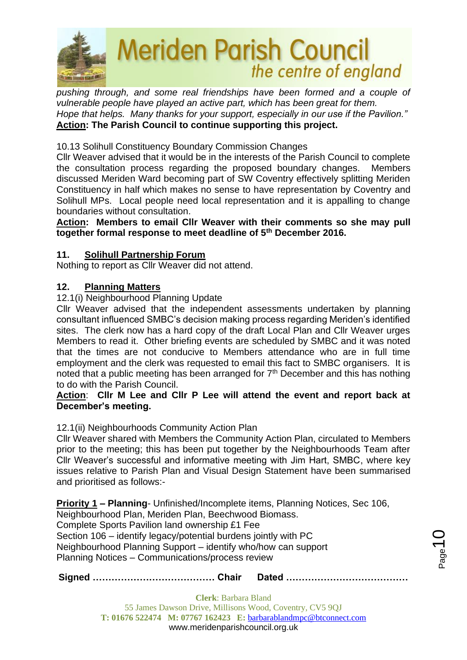

*pushing through, and some real friendships have been formed and a couple of vulnerable people have played an active part, which has been great for them. Hope that helps. Many thanks for your support, especially in our use if the Pavilion."* **Action: The Parish Council to continue supporting this project.**

10.13 Solihull Constituency Boundary Commission Changes

Cllr Weaver advised that it would be in the interests of the Parish Council to complete the consultation process regarding the proposed boundary changes. Members discussed Meriden Ward becoming part of SW Coventry effectively splitting Meriden Constituency in half which makes no sense to have representation by Coventry and Solihull MPs. Local people need local representation and it is appalling to change boundaries without consultation.

**Action: Members to email Cllr Weaver with their comments so she may pull together formal response to meet deadline of 5th December 2016.**

## **11. Solihull Partnership Forum**

Nothing to report as Cllr Weaver did not attend.

## **12. Planning Matters**

#### 12.1(i) Neighbourhood Planning Update

Cllr Weaver advised that the independent assessments undertaken by planning consultant influenced SMBC's decision making process regarding Meriden's identified sites. The clerk now has a hard copy of the draft Local Plan and Cllr Weaver urges Members to read it. Other briefing events are scheduled by SMBC and it was noted that the times are not conducive to Members attendance who are in full time employment and the clerk was requested to email this fact to SMBC organisers. It is noted that a public meeting has been arranged for  $7<sup>th</sup>$  December and this has nothing to do with the Parish Council.

#### **Action**: **Cllr M Lee and Cllr P Lee will attend the event and report back at December's meeting.**

#### 12.1(ii) Neighbourhoods Community Action Plan

Cllr Weaver shared with Members the Community Action Plan, circulated to Members prior to the meeting; this has been put together by the Neighbourhoods Team after Cllr Weaver's successful and informative meeting with Jim Hart, SMBC, where key issues relative to Parish Plan and Visual Design Statement have been summarised and prioritised as follows:-

**Priority 1 – Planning**- Unfinished/Incomplete items, Planning Notices, Sec 106, Neighbourhood Plan, Meriden Plan, Beechwood Biomass. Complete Sports Pavilion land ownership £1 Fee Section 106 – identify legacy/potential burdens jointly with PC Neighbourhood Planning Support – identify who/how can support Planning Notices – Communications/process review

**Signed ………………………………… Chair Dated …………………………………**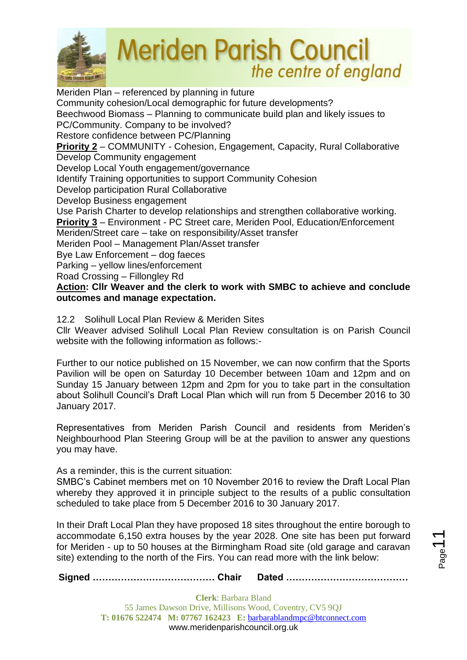

Meriden Plan – referenced by planning in future Community cohesion/Local demographic for future developments? Beechwood Biomass – Planning to communicate build plan and likely issues to PC/Community. Company to be involved? Restore confidence between PC/Planning **Priority 2** – COMMUNITY - Cohesion, Engagement, Capacity, Rural Collaborative Develop Community engagement Develop Local Youth engagement/governance Identify Training opportunities to support Community Cohesion Develop participation Rural Collaborative Develop Business engagement Use Parish Charter to develop relationships and strengthen collaborative working. **Priority 3** – Environment - PC Street care, Meriden Pool, Education/Enforcement Meriden/Street care – take on responsibility/Asset transfer Meriden Pool – Management Plan/Asset transfer Bye Law Enforcement – dog faeces Parking – yellow lines/enforcement Road Crossing – Fillongley Rd **Action: Cllr Weaver and the clerk to work with SMBC to achieve and conclude outcomes and manage expectation.**

## 12.2 Solihull Local Plan Review & Meriden Sites

Cllr Weaver advised Solihull Local Plan Review consultation is on Parish Council website with the following information as follows:-

Further to our notice published on 15 November, we can now confirm that the Sports Pavilion will be open on Saturday 10 December between 10am and 12pm and on Sunday 15 January between 12pm and 2pm for you to take part in the consultation about Solihull Council's Draft Local Plan which will run from 5 December 2016 to 30 January 2017.

Representatives from Meriden Parish Council and residents from Meriden's Neighbourhood Plan Steering Group will be at the pavilion to answer any questions you may have.

As a reminder, this is the current situation:

SMBC's Cabinet members met on 10 November 2016 to review the Draft Local Plan whereby they approved it in principle subject to the results of a public consultation scheduled to take place from 5 December 2016 to 30 January 2017.

In their Draft Local Plan they have proposed 18 sites throughout the entire borough to accommodate 6,150 extra houses by the year 2028. One site has been put forward for Meriden - up to 50 houses at the Birmingham Road site (old garage and caravan site) extending to the north of the Firs. You can read more with the link below: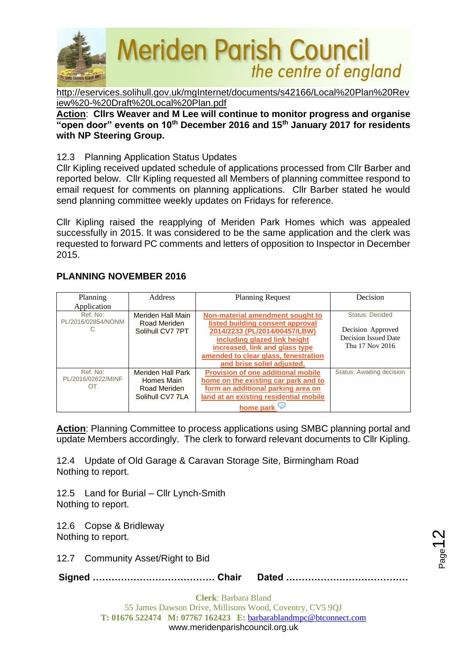

[http://eservices.solihull.gov.uk/mgInternet/documents/s42166/Local%20Plan%20Rev](http://eservices.solihull.gov.uk/mgInternet/documents/s42166/Local%20Plan%20Review%20-%20Draft%20Local%20Plan.pdf) [iew%20-%20Draft%20Local%20Plan.pdf](http://eservices.solihull.gov.uk/mgInternet/documents/s42166/Local%20Plan%20Review%20-%20Draft%20Local%20Plan.pdf)

**Action**: **Cllrs Weaver and M Lee will continue to monitor progress and organise "open door" events on 10th December 2016 and 15th January 2017 for residents with NP Steering Group.**

## 12.3 Planning Application Status Updates

Cllr Kipling received updated schedule of applications processed from Cllr Barber and reported below. Cllr Kipling requested all Members of planning committee respond to email request for comments on planning applications. Cllr Barber stated he would send planning committee weekly updates on Fridays for reference.

Cllr Kipling raised the reapplying of Meriden Park Homes which was appealed successfully in 2015. It was considered to be the same application and the clerk was requested to forward PC comments and letters of opposition to Inspector in December 2015.

# **PLANNING NOVEMBER 2016**

| Planning           | Address                  | <b>Planning Request</b>                   | Decision                         |
|--------------------|--------------------------|-------------------------------------------|----------------------------------|
| Application        |                          |                                           |                                  |
| Ref. No:           | Meriden Hall Main        | Non-material amendment sought to          | <b>Status: Decided</b>           |
| PL/2016/02854/NONM | <b>Road Meriden</b>      | listed building consent approval          |                                  |
|                    | Solihull CV7 7PT         | 2014/2233 (PL/2014/00457/LBW)             | Decision Approved                |
|                    |                          | including glazed link height              | Decision Issued Date             |
|                    |                          | increased, link and glass type            | Thu 17 Nov 2016                  |
|                    |                          | amended to clear glass, fenestration      |                                  |
|                    |                          | and brise soliel adjusted.                |                                  |
| Ref. No:           | <b>Meriden Hall Park</b> | <b>Provision of one additional mobile</b> | <b>Status: Awaiting decision</b> |
| PL/2016/02622/MINF | <b>Homes Main</b>        | home on the existing car park and to      |                                  |
| OT                 | <b>Road Meriden</b>      | form an additional parking area on        |                                  |
|                    | Solihull CV7 7LA         | land at an existing residential mobile    |                                  |
|                    |                          | home park                                 |                                  |

**Action**: Planning Committee to process applications using SMBC planning portal and update Members accordingly. The clerk to forward relevant documents to Cllr Kipling.

12.4 Update of Old Garage & Caravan Storage Site, Birmingham Road Nothing to report.

12.5 Land for Burial – Cllr Lynch-Smith Nothing to report.

12.6 Copse & Bridleway Nothing to report.

12.7 Community Asset/Right to Bid

**Signed ………………………………… Chair Dated …………………………………**